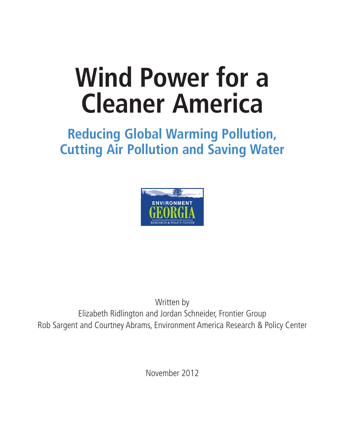# **Wind Power for a Cleaner America**

### **Reducing Global Warming Pollution, Cutting Air Pollution and Saving Water**



Written by Elizabeth Ridlington and Jordan Schneider, Frontier Group Rob Sargent and Courtney Abrams, Environment America Research & Policy Center

November 2012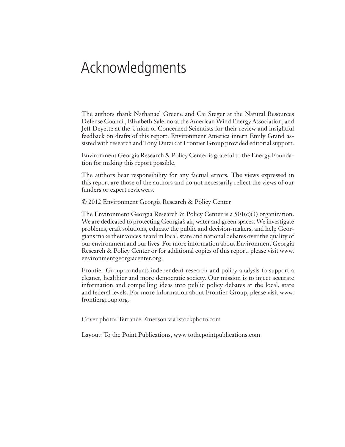### Acknowledgments

The authors thank Nathanael Greene and Cai Steger at the Natural Resources Defense Council, Elizabeth Salerno at the American Wind Energy Association, and Jeff Deyette at the Union of Concerned Scientists for their review and insightful feedback on drafts of this report. Environment America intern Emily Grand assisted with research and Tony Dutzik at Frontier Group provided editorial support.

Environment Georgia Research & Policy Center is grateful to the Energy Foundation for making this report possible.

The authors bear responsibility for any factual errors. The views expressed in this report are those of the authors and do not necessarily reflect the views of our funders or expert reviewers.

© 2012 Environment Georgia Research & Policy Center

The Environment Georgia Research & Policy Center is a  $501(c)(3)$  organization. We are dedicated to protecting Georgia's air, water and green spaces. We investigate problems, craft solutions, educate the public and decision-makers, and help Georgians make their voices heard in local, state and national debates over the quality of our environment and our lives. For more information about Environment Georgia Research & Policy Center or for additional copies of this report, please visit www. environmentgeorgiacenter.org.

Frontier Group conducts independent research and policy analysis to support a cleaner, healthier and more democratic society. Our mission is to inject accurate information and compelling ideas into public policy debates at the local, state and federal levels. For more information about Frontier Group, please visit www. frontiergroup.org.

Cover photo: Terrance Emerson via istockphoto.com

Layout: To the Point Publications, www.tothepointpublications.com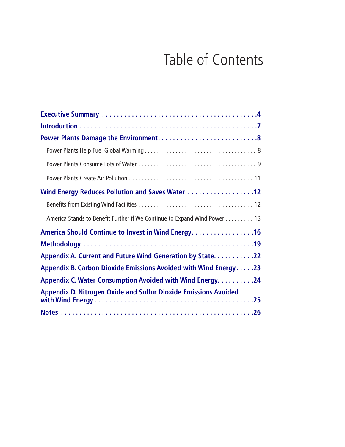## Table of Contents

| Wind Energy Reduces Pollution and Saves Water 12                         |
|--------------------------------------------------------------------------|
|                                                                          |
| America Stands to Benefit Further if We Continue to Expand Wind Power 13 |
| America Should Continue to Invest in Wind Energy. 16                     |
|                                                                          |
| Appendix A. Current and Future Wind Generation by State. 22              |
| Appendix B. Carbon Dioxide Emissions Avoided with Wind Energy23          |
| Appendix C. Water Consumption Avoided with Wind Energy. 24               |
| <b>Appendix D. Nitrogen Oxide and Sulfur Dioxide Emissions Avoided</b>   |
|                                                                          |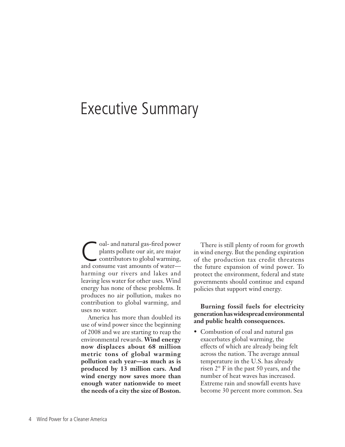### Executive Summary

Coal- and natural gas-fired power<br>plants pollute our air, are major<br>contributors to global warming, plants pollute our air, are major contributors to global warming, and consume vast amounts of water harming our rivers and lakes and leaving less water for other uses. Wind energy has none of these problems. It produces no air pollution, makes no contribution to global warming, and uses no water.

America has more than doubled its use of wind power since the beginning of 2008 and we are starting to reap the environmental rewards. **Wind energy now displaces about 68 million metric tons of global warming pollution each year—as much as is produced by 13 million cars. And wind energy now saves more than enough water nationwide to meet the needs of a city the size of Boston.** 

There is still plenty of room for growth in wind energy. But the pending expiration of the production tax credit threatens the future expansion of wind power. To protect the environment, federal and state governments should continue and expand policies that support wind energy.

**Burning fossil fuels for electricity generation has widespread environmental and public health consequences.** 

• Combustion of coal and natural gas exacerbates global warming, the effects of which are already being felt across the nation. The average annual temperature in the U.S. has already risen 2° F in the past 50 years, and the number of heat waves has increased. Extreme rain and snowfall events have become 30 percent more common. Sea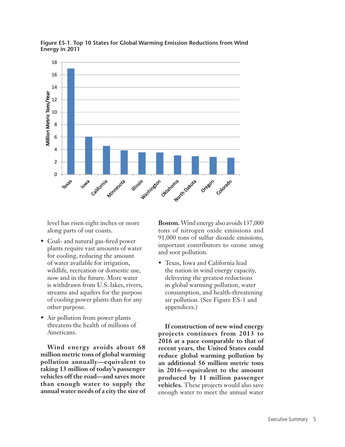

**Figure ES-1. Top 10 States for Global Warming Emission Reductions from Wind Energy in 2011**

level has risen eight inches or more along parts of our coasts.

- Coal- and natural gas-fired power plants require vast amounts of water for cooling, reducing the amount of water available for irrigation, wildlife, recreation or domestic use, now and in the future. More water is withdrawn from U.S. lakes, rivers, streams and aquifers for the purpose of cooling power plants than for any other purpose.
- Air pollution from power plants threatens the health of millions of Americans.

**Wind energy avoids about 68 million metric tons of global warming pollution annually—equivalent to taking 13 million of today's passenger vehicles off the road—and saves more than enough water to supply the annual water needs of a city the size of** 

**Boston.** Wind energy also avoids 137,000 tons of nitrogen oxide emissions and 91,000 tons of sulfur dioxide emissions, important contributors to ozone smog and soot pollution.

• Texas, Iowa and California lead the nation in wind energy capacity, delivering the greatest reductions in global warming pollution, water consumption, and health-threatening air pollution. (See Figure ES-1 and appendices.)

**If construction of new wind energy projects continues from 2013 to 2016 at a pace comparable to that of recent years, the United States could reduce global warming pollution by an additional 56 million metric tons in 2016—equivalent to the amount produced by 11 million passenger vehicles.** These projects would also save enough water to meet the annual water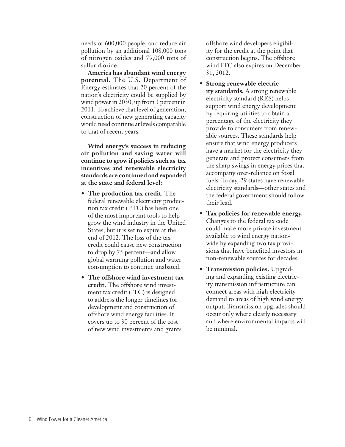needs of 600,000 people, and reduce air pollution by an additional 108,000 tons of nitrogen oxides and 79,000 tons of sulfur dioxide.

**America has abundant wind energy potential.** The U.S. Department of Energy estimates that 20 percent of the nation's electricity could be supplied by wind power in 2030, up from 3 percent in 2011. To achieve that level of generation, construction of new generating capacity would need continue at levels comparable to that of recent years.

**Wind energy's success in reducing air pollution and saving water will continue to grow if policies such as tax incentives and renewable electricity standards are continued and expanded at the state and federal level:**

- **• The production tax credit.** The federal renewable electricity production tax credit (PTC) has been one of the most important tools to help grow the wind industry in the United States, but it is set to expire at the end of 2012. The loss of the tax credit could cause new construction to drop by 75 percent—and allow global warming pollution and water consumption to continue unabated.
- **• The offshore wind investment tax credit.** The offshore wind investment tax credit (ITC) is designed to address the longer timelines for development and construction of offshore wind energy facilities. It covers up to 30 percent of the cost of new wind investments and grants

offshore wind developers eligibility for the credit at the point that construction begins. The offshore wind ITC also expires on December 31, 2012.

- **• Strong renewable electricity standards.** A strong renewable electricity standard (RES) helps support wind energy development by requiring utilities to obtain a percentage of the electricity they provide to consumers from renewable sources. These standards help ensure that wind energy producers have a market for the electricity they generate and protect consumers from the sharp swings in energy prices that accompany over-reliance on fossil fuels. Today, 29 states have renewable electricity standards—other states and the federal government should follow their lead.
- **• Tax policies for renewable energy.**  Changes to the federal tax code could make more private investment available to wind energy nationwide by expanding two tax provisions that have benefited investors in non-renewable sources for decades.
- **• Transmission policies.** Upgrading and expanding existing electricity transmission infrastructure can connect areas with high electricity demand to areas of high wind energy output. Transmission upgrades should occur only where clearly necessary and where environmental impacts will be minimal.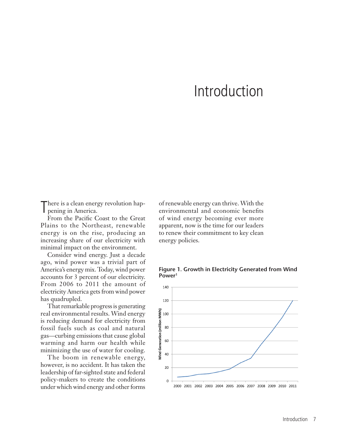### Introduction

There is a clean energy<br>pening in America. here is a clean energy revolution hap-

From the Pacific Coast to the Great Plains to the Northeast, renewable energy is on the rise, producing an increasing share of our electricity with minimal impact on the environment.

Consider wind energy. Just a decade ago, wind power was a trivial part of America's energy mix. Today, wind power accounts for 3 percent of our electricity. From 2006 to 2011 the amount of electricity America gets from wind power has quadrupled.

That remarkable progress is generating real environmental results. Wind energy is reducing demand for electricity from fossil fuels such as coal and natural gas—curbing emissions that cause global warming and harm our health while minimizing the use of water for cooling.

The boom in renewable energy, however, is no accident. It has taken the leadership of far-sighted state and federal policy-makers to create the conditions under which wind energy and other forms

of renewable energy can thrive. With the environmental and economic benefits of wind energy becoming ever more apparent, now is the time for our leaders to renew their commitment to key clean energy policies.



**Figure 1. Growth in Electricity Generated from Wind Power1**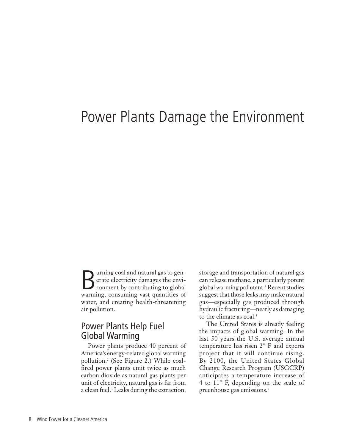### Power Plants Damage the Environment

Ultimate Coal and natural gas to generate electricity damages the environment by contributing to global erate electricity damages the envi-France Contributing to global warming, consuming vast quantities of water, and creating health-threatening air pollution.

#### Power Plants Help Fuel Global Warming

Power plants produce 40 percent of America's energy-related global warming pollution.2 (See Figure 2.) While coalfired power plants emit twice as much carbon dioxide as natural gas plants per unit of electricity, natural gas is far from a clean fuel.<sup>3</sup> Leaks during the extraction, storage and transportation of natural gas can release methane, a particularly potent global warming pollutant.4 Recent studies suggest that those leaks may make natural gas—especially gas produced through hydraulic fracturing—nearly as damaging to the climate as coal.<sup>5</sup>

The United States is already feeling the impacts of global warming. In the last 50 years the U.S. average annual temperature has risen 2° F and experts project that it will continue rising. By 2100, the United States Global Change Research Program (USGCRP) anticipates a temperature increase of 4 to 11° F, depending on the scale of greenhouse gas emissions.7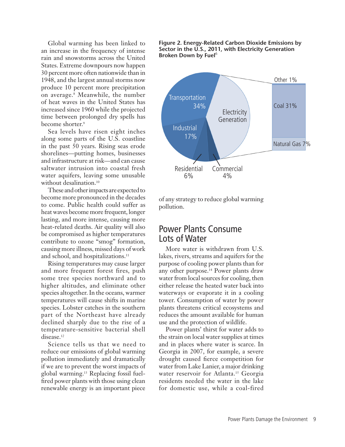Global warming has been linked to an increase in the frequency of intense rain and snowstorms across the United States. Extreme downpours now happen 30 percent more often nationwide than in 1948, and the largest annual storms now produce 10 percent more precipitation on average.8 Meanwhile, the number of heat waves in the United States has increased since 1960 while the projected time between prolonged dry spells has become shorter.<sup>9</sup>

Sea levels have risen eight inches along some parts of the U.S. coastline in the past 50 years. Rising seas erode shorelines—putting homes, businesses and infrastructure at risk—and can cause saltwater intrusion into coastal fresh water aquifers, leaving some unusable without desalination.<sup>10</sup>

These and other impacts are expected to become more pronounced in the decades to come. Public health could suffer as heat waves become more frequent, longer lasting, and more intense, causing more heat-related deaths. Air quality will also be compromised as higher temperatures contribute to ozone "smog" formation, causing more illness, missed days of work and school, and hospitalizations.<sup>11</sup>

Rising temperatures may cause larger and more frequent forest fires, push some tree species northward and to higher altitudes, and eliminate other species altogether. In the oceans, warmer temperatures will cause shifts in marine species. Lobster catches in the southern part of the Northeast have already declined sharply due to the rise of a temperature-sensitive bacterial shell disease.<sup>12</sup>

Science tells us that we need to reduce our emissions of global warming pollution immediately and dramatically if we are to prevent the worst impacts of global warming.13 Replacing fossil fuelfired power plants with those using clean renewable energy is an important piece





of any strategy to reduce global warming pollution.

#### Power Plants Consume Lots of Water

More water is withdrawn from U.S. lakes, rivers, streams and aquifers for the purpose of cooling power plants than for any other purpose.14 Power plants draw water from local sources for cooling, then either release the heated water back into waterways or evaporate it in a cooling tower. Consumption of water by power plants threatens critical ecosystems and reduces the amount available for human use and the protection of wildlife.

Power plants' thirst for water adds to the strain on local water supplies at times and in places where water is scarce. In Georgia in 2007, for example, a severe drought caused fierce competition for water from Lake Lanier, a major drinking water reservoir for Atlanta.<sup>15</sup> Georgia residents needed the water in the lake for domestic use, while a coal-fired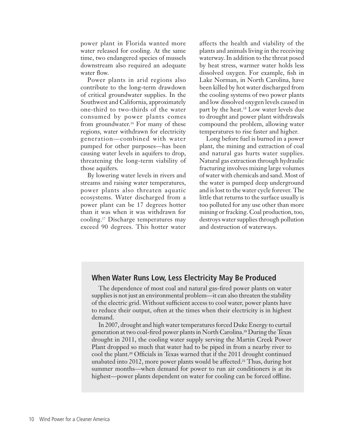power plant in Florida wanted more water released for cooling. At the same time, two endangered species of mussels downstream also required an adequate water flow.

Power plants in arid regions also contribute to the long-term drawdown of critical groundwater supplies. In the Southwest and California, approximately one-third to two-thirds of the water consumed by power plants comes from groundwater.16 For many of these regions, water withdrawn for electricity generation—combined with water pumped for other purposes—has been causing water levels in aquifers to drop, threatening the long-term viability of those aquifers.

By lowering water levels in rivers and streams and raising water temperatures, power plants also threaten aquatic ecosystems. Water discharged from a power plant can be 17 degrees hotter than it was when it was withdrawn for cooling.17 Discharge temperatures may exceed 90 degrees. This hotter water

affects the health and viability of the plants and animals living in the receiving waterway. In addition to the threat posed by heat stress, warmer water holds less dissolved oxygen. For example, fish in Lake Norman, in North Carolina, have been killed by hot water discharged from the cooling systems of two power plants and low dissolved oxygen levels caused in part by the heat.18 Low water levels due to drought and power plant withdrawals compound the problem, allowing water temperatures to rise faster and higher.

Long before fuel is burned in a power plant, the mining and extraction of coal and natural gas hurts water supplies. Natural gas extraction through hydraulic fracturing involves mixing large volumes of water with chemicals and sand. Most of the water is pumped deep underground and is lost to the water cycle forever. The little that returns to the surface usually is too polluted for any use other than more mining or fracking. Coal production, too, destroys water supplies through pollution and destruction of waterways.

#### **When Water Runs Low, Less Electricity May Be Produced**

The dependence of most coal and natural gas-fired power plants on water supplies is not just an environmental problem—it can also threaten the stability of the electric grid. Without sufficient access to cool water, power plants have to reduce their output, often at the times when their electricity is in highest demand.

In 2007, drought and high water temperatures forced Duke Energy to curtail generation at two coal-fired power plants in North Carolina.19 During the Texas drought in 2011, the cooling water supply serving the Martin Creek Power Plant dropped so much that water had to be piped in from a nearby river to cool the plant.20 Officials in Texas warned that if the 2011 drought continued unabated into 2012, more power plants would be affected.21 Thus, during hot summer months—when demand for power to run air conditioners is at its highest—power plants dependent on water for cooling can be forced offline.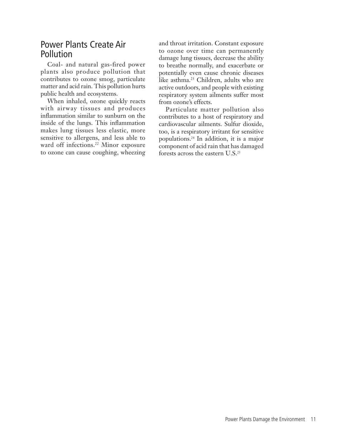#### Power Plants Create Air Pollution

Coal- and natural gas-fired power plants also produce pollution that contributes to ozone smog, particulate matter and acid rain. This pollution hurts public health and ecosystems.

When inhaled, ozone quickly reacts with airway tissues and produces inflammation similar to sunburn on the inside of the lungs. This inflammation makes lung tissues less elastic, more sensitive to allergens, and less able to ward off infections.<sup>22</sup> Minor exposure to ozone can cause coughing, wheezing and throat irritation. Constant exposure to ozone over time can permanently damage lung tissues, decrease the ability to breathe normally, and exacerbate or potentially even cause chronic diseases like asthma.23 Children, adults who are active outdoors, and people with existing respiratory system ailments suffer most from ozone's effects.

Particulate matter pollution also contributes to a host of respiratory and cardiovascular ailments. Sulfur dioxide, too, is a respiratory irritant for sensitive populations.24 In addition, it is a major component of acid rain that has damaged forests across the eastern U.S.25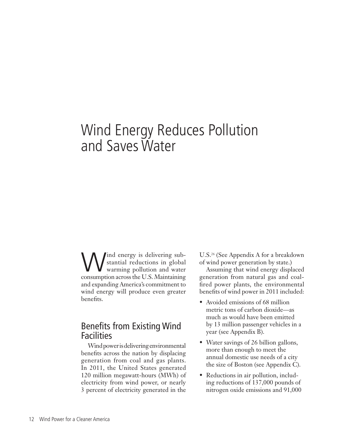### Wind Energy Reduces Pollution and Saves Water

Wind energy is delivering sub-<br>stantial reductions in global<br>expression areas the U.S. Maintenance stantial reductions in global consumption across the U.S. Maintaining and expanding America's commitment to wind energy will produce even greater benefits.

#### Benefits from Existing Wind Facilities

Wind power is delivering environmental benefits across the nation by displacing generation from coal and gas plants. In 2011, the United States generated 120 million megawatt-hours (MWh) of electricity from wind power, or nearly 3 percent of electricity generated in the

U.S.26 (See Appendix A for a breakdown of wind power generation by state.)

Assuming that wind energy displaced generation from natural gas and coalfired power plants, the environmental benefits of wind power in 2011 included:

- Avoided emissions of 68 million metric tons of carbon dioxide—as much as would have been emitted by 13 million passenger vehicles in a year (see Appendix B).
- Water savings of 26 billion gallons, more than enough to meet the annual domestic use needs of a city the size of Boston (see Appendix C).
- Reductions in air pollution, including reductions of 137,000 pounds of nitrogen oxide emissions and 91,000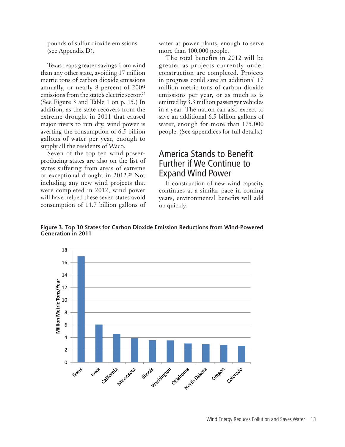pounds of sulfur dioxide emissions (see Appendix D).

Texas reaps greater savings from wind than any other state, avoiding 17 million metric tons of carbon dioxide emissions annually, or nearly 8 percent of 2009 emissions from the state's electric sector.<sup>27</sup> (See Figure 3 and Table 1 on p. 15.) In addition, as the state recovers from the extreme drought in 2011 that caused major rivers to run dry, wind power is averting the consumption of 6.5 billion gallons of water per year, enough to supply all the residents of Waco.

Seven of the top ten wind powerproducing states are also on the list of states suffering from areas of extreme or exceptional drought in 2012.<sup>28</sup> Not including any new wind projects that were completed in 2012, wind power will have helped these seven states avoid consumption of 14.7 billion gallons of water at power plants, enough to serve more than 400,000 people.

The total benefits in 2012 will be greater as projects currently under construction are completed. Projects in progress could save an additional 17 million metric tons of carbon dioxide emissions per year, or as much as is emitted by 3.3 million passenger vehicles in a year. The nation can also expect to save an additional 6.5 billion gallons of water, enough for more than 175,000 people. (See appendices for full details.)

#### America Stands to Benefit Further if We Continue to Expand Wind Power

If construction of new wind capacity continues at a similar pace in coming years, environmental benefits will add up quickly.

**Figure 3. Top 10 States for Carbon Dioxide Emission Reductions from Wind-Powered Generation in 2011**

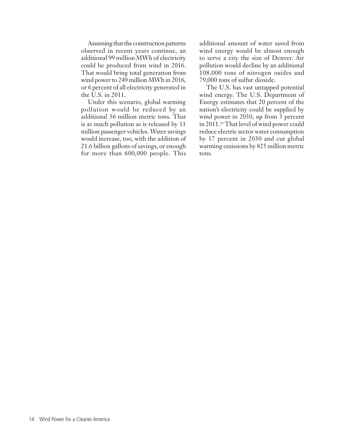Assuming that the construction patterns observed in recent years continue, an additional 99 million MWh of electricity could be produced from wind in 2016. That would bring total generation from wind power to 249 million MWh in 2016, or 6 percent of all electricity generated in the U.S. in 2011.

Under this scenario, global warming pollution would be reduced by an additional 56 million metric tons. That is as much pollution as is released by 11 million passenger vehicles. Water savings would increase, too, with the addition of 21.6 billion gallons of savings, or enough for more than 600,000 people. This

additional amount of water saved from wind energy would be almost enough to serve a city the size of Denver. Air pollution would decline by an additional 108,000 tons of nitrogen oxides and 79,000 tons of sulfur dioxide.

The U.S. has vast untapped potential wind energy. The U.S. Department of Energy estimates that 20 percent of the nation's electricity could be supplied by wind power in 2030, up from 3 percent in 2011.29 That level of wind power could reduce electric sector water consumption by 17 percent in 2030 and cut global warming emissions by 825 million metric tons.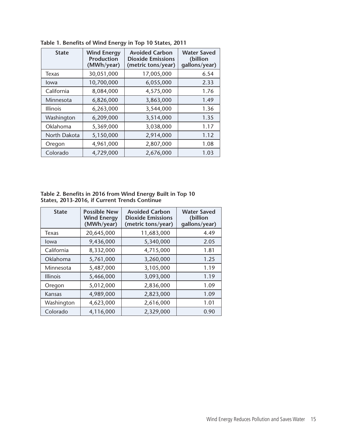| <b>State</b>    | <b>Wind Energy</b><br><b>Production</b><br>(MWh/year) | <b>Avoided Carbon</b><br><b>Dioxide Emissions</b><br>(metric tons/year) | <b>Water Saved</b><br>(billion<br>gallons/year) |  |
|-----------------|-------------------------------------------------------|-------------------------------------------------------------------------|-------------------------------------------------|--|
| Texas           | 30,051,000                                            | 17,005,000                                                              | 6.54                                            |  |
| Iowa            | 10,700,000                                            | 6,055,000                                                               | 2.33                                            |  |
| California      | 8,084,000                                             | 4,575,000                                                               | 1.76                                            |  |
| Minnesota       | 6,826,000                                             | 3,863,000                                                               | 1.49                                            |  |
| <b>Illinois</b> | 6,263,000                                             | 3,544,000                                                               | 1.36                                            |  |
| Washington      | 6,209,000                                             | 3,514,000                                                               | 1.35                                            |  |
| Oklahoma        | 5,369,000                                             | 3,038,000                                                               | 1.17                                            |  |
| North Dakota    | 5,150,000                                             | 2,914,000                                                               | 1.12                                            |  |
| Oregon          | 4,961,000                                             | 2,807,000                                                               | 1.08                                            |  |
| Colorado        | 4,729,000                                             | 2,676,000                                                               | 1.03                                            |  |

**Table 1. Benefits of Wind Energy in Top 10 States, 2011**

**Table 2. Benefits in 2016 from Wind Energy Built in Top 10 States, 2013-2016, if Current Trends Continue**

| <b>State</b>    | <b>Possible New</b><br><b>Wind Energy</b><br>(MWh/year) | <b>Avoided Carbon</b><br><b>Dioxide Emissions</b><br>(metric tons/year) | <b>Water Saved</b><br>(billion<br>qallons/year) |
|-----------------|---------------------------------------------------------|-------------------------------------------------------------------------|-------------------------------------------------|
| Texas           | 20,645,000                                              | 11,683,000                                                              | 4.49                                            |
| lowa            | 9,436,000                                               | 5,340,000                                                               | 2.05                                            |
| California      | 8,332,000                                               | 4,715,000                                                               | 1.81                                            |
| Oklahoma        | 5,761,000                                               | 3,260,000                                                               | 1.25                                            |
| Minnesota       | 5,487,000                                               | 3,105,000                                                               | 1.19                                            |
| <b>Illinois</b> | 5,466,000                                               | 3,093,000                                                               | 1.19                                            |
| Oregon          | 5,012,000                                               | 2,836,000                                                               | 1.09                                            |
| Kansas          | 4,989,000                                               | 2,823,000                                                               | 1.09                                            |
| Washington      | 4,623,000                                               | 2,616,000                                                               | 1.01                                            |
| Colorado        | 4,116,000                                               | 2,329,000                                                               | 0.90                                            |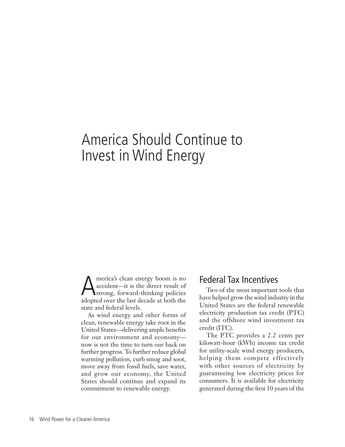### America Should Continue to Invest in Wind Energy

America's clean energy boom is no<br>accident—it is the direct result of<br>adopted over the lest decede at both the accident—it is the direct result of adopted over the last decade at both the state and federal levels.

As wind energy and other forms of clean, renewable energy take root in the United States—delivering ample benefits for our environment and economy now is not the time to turn our back on further progress. To further reduce global warming pollution, curb smog and soot, move away from fossil fuels, save water, and grow our economy, the United States should continue and expand its commitment to renewable energy.

#### Federal Tax Incentives

Two of the most important tools that have helped grow the wind industry in the United States are the federal renewable electricity production tax credit (PTC) and the offshore wind investment tax credit (ITC).

The PTC provides a 2.2 cents per kilowatt-hour (kWh) income tax credit for utility-scale wind energy producers, helping them compete effectively with other sources of electricity by guaranteeing low electricity prices for consumers. It is available for electricity generated during the first 10 years of the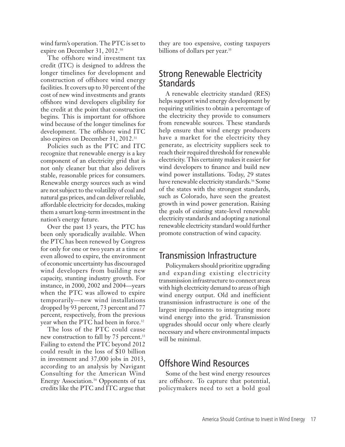wind farm's operation. The PTC is set to expire on December 31, 2012.30

The offshore wind investment tax credit (ITC) is designed to address the longer timelines for development and construction of offshore wind energy facilities. It covers up to 30 percent of the cost of new wind investments and grants offshore wind developers eligibility for the credit at the point that construction begins. This is important for offshore wind because of the longer timelines for development. The offshore wind ITC also expires on December 31, 2012.31

Policies such as the PTC and ITC recognize that renewable energy is a key component of an electricity grid that is not only cleaner but that also delivers stable, reasonable prices for consumers. Renewable energy sources such as wind are not subject to the volatility of coal and natural gas prices, and can deliver reliable, affordable electricity for decades, making them a smart long-term investment in the nation's energy future.

Over the past 13 years, the PTC has been only sporadically available. When the PTC has been renewed by Congress for only for one or two years at a time or even allowed to expire, the environment of economic uncertainty has discouraged wind developers from building new capacity, stunting industry growth. For instance, in 2000, 2002 and 2004—years when the PTC was allowed to expire temporarily—new wind installations dropped by 93 percent, 73 percent and 77 percent, respectively, from the previous year when the PTC had been in force.<sup>32</sup>

The loss of the PTC could cause new construction to fall by 75 percent.<sup>33</sup> Failing to extend the PTC beyond 2012 could result in the loss of \$10 billion in investment and 37,000 jobs in 2013, according to an analysis by Navigant Consulting for the American Wind Energy Association.34 Opponents of tax credits like the PTC and ITC argue that they are too expensive, costing taxpayers billions of dollars per year.<sup>35</sup>

#### Strong Renewable Electricity Standards

A renewable electricity standard (RES) helps support wind energy development by requiring utilities to obtain a percentage of the electricity they provide to consumers from renewable sources. These standards help ensure that wind energy producers have a market for the electricity they generate, as electricity suppliers seek to reach their required threshold for renewable electricity. This certainty makes it easier for wind developers to finance and build new wind power installations. Today, 29 states have renewable electricity standards.<sup>36</sup> Some of the states with the strongest standards, such as Colorado, have seen the greatest growth in wind power generation. Raising the goals of existing state-level renewable electricity standards and adopting a national renewable electricity standard would further promote construction of wind capacity.

#### Transmission Infrastructure

Policymakers should prioritize upgrading and expanding existing electricity transmission infrastructure to connect areas with high electricity demand to areas of high wind energy output. Old and inefficient transmission infrastructure is one of the largest impediments to integrating more wind energy into the grid. Transmission upgrades should occur only where clearly necessary and where environmental impacts will be minimal.

#### Offshore Wind Resources

Some of the best wind energy resources are offshore. To capture that potential, policymakers need to set a bold goal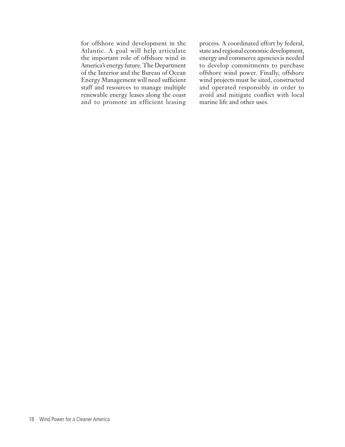for offshore wind development in the Atlantic. A goal will help articulate the important role of offshore wind in America's energy future. The Department of the Interior and the Bureau of Ocean Energy Management will need sufficient staff and resources to manage multiple renewable energy leases along the coast and to promote an efficient leasing

process. A coordinated effort by federal, state and regional economic development, energy and commerce agencies is needed to develop commitments to purchase offshore wind power. Finally, offshore wind projects must be sited, constructed and operated responsibly in order to avoid and mitigate conflict with local marine life and other uses.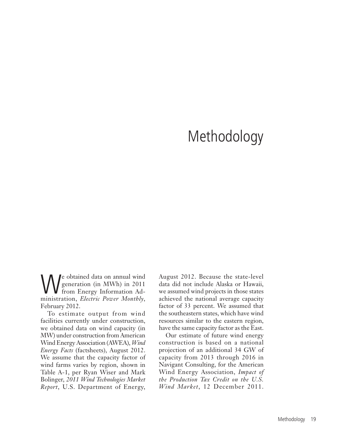### Methodology

We obtained data on annual wind<br>
generation (in MWh) in 2011<br>
from Energy Information Ad-<br>
ministration Electric Bower Monthly generation (in MWh) in 2011 ministration, *Electric Power Monthly*, February 2012.

To estimate output from wind facilities currently under construction, we obtained data on wind capacity (in MW) under construction from American Wind Energy Association (AWEA), *Wind Energy Facts* (factsheets), August 2012. We assume that the capacity factor of wind farms varies by region, shown in Table A-1, per Ryan Wiser and Mark Bolinger, *2011 Wind Technologies Market Report*, U.S. Department of Energy,

August 2012. Because the state-level data did not include Alaska or Hawaii, we assumed wind projects in those states achieved the national average capacity factor of 33 percent. We assumed that the southeastern states, which have wind resources similar to the eastern region, have the same capacity factor as the East.

Our estimate of future wind energy construction is based on a national projection of an additional 34 GW of capacity from 2013 through 2016 in Navigant Consulting, for the American Wind Energy Association, *Impact of the Production Tax Credit on the U.S. Wind Market*, 12 December 2011.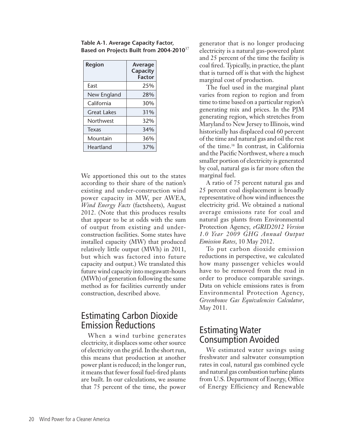| Table A-1. Average Capacity Factor,         |  |
|---------------------------------------------|--|
| Based on Projects Built from 2004-2010 $37$ |  |

| <b>Region</b>    | Average<br>Capacity<br><b>Factor</b> |
|------------------|--------------------------------------|
| Fast             | 25%                                  |
| New England      | 28%                                  |
| California       | 30%                                  |
| Great Lakes      | 31%                                  |
| <b>Northwest</b> | 32%                                  |
| Texas            | 34%                                  |
| Mountain         | 36%                                  |
| Heartland        | 37%                                  |

We apportioned this out to the states according to their share of the nation's existing and under-construction wind power capacity in MW, per AWEA, *Wind Energy Facts* (factsheets), August 2012. (Note that this produces results that appear to be at odds with the sum of output from existing and underconstruction facilities. Some states have installed capacity (MW) that produced relatively little output (MWh) in 2011, but which was factored into future capacity and output.) We translated this future wind capacity into megawatt-hours (MWh) of generation following the same method as for facilities currently under construction, described above.

#### Estimating Carbon Dioxide Emission Reductions

When a wind turbine generates electricity, it displaces some other source of electricity on the grid. In the short run, this means that production at another power plant is reduced; in the longer run, it means that fewer fossil fuel-fired plants are built. In our calculations, we assume that 75 percent of the time, the power generator that is no longer producing electricity is a natural gas-powered plant and 25 percent of the time the facility is coal fired. Typically, in practice, the plant that is turned off is that with the highest marginal cost of production.

The fuel used in the marginal plant varies from region to region and from time to time based on a particular region's generating mix and prices. In the PJM generating region, which stretches from Maryland to New Jersey to Illinois, wind historically has displaced coal 60 percent of the time and natural gas and oil the rest of the time.38 In contrast, in California and the Pacific Northwest, where a much smaller portion of electricity is generated by coal, natural gas is far more often the marginal fuel.

A ratio of 75 percent natural gas and 25 percent coal displacement is broadly representative of how wind influences the electricity grid. We obtained a national average emissions rate for coal and natural gas plants from Environmental Protection Agency, *eGRID2012 Version 1.0 Year 2009 GHG Annual Output Emission Rates*, 10 May 2012.

To put carbon dioxide emission reductions in perspective, we calculated how many passenger vehicles would have to be removed from the road in order to produce comparable savings. Data on vehicle emissions rates is from Environmental Protection Agency, *Greenhouse Gas Equivalencies Calculator*, May 2011.

#### Estimating Water Consumption Avoided

We estimated water savings using freshwater and saltwater consumption rates in coal, natural gas combined cycle and natural gas combustion turbine plants from U.S. Department of Energy, Office of Energy Efficiency and Renewable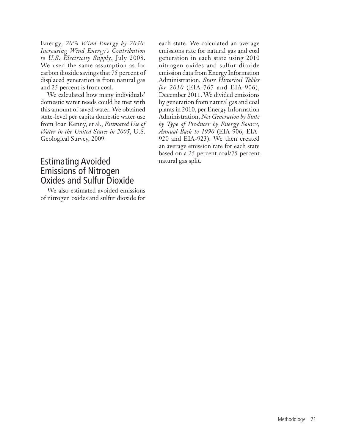Energy, *20% Wind Energy by 2030: Increasing Wind Energy's Contribution to U.S. Electricity Supply*, July 2008. We used the same assumption as for carbon dioxide savings that 75 percent of displaced generation is from natural gas and 25 percent is from coal.

We calculated how many individuals' domestic water needs could be met with this amount of saved water. We obtained state-level per capita domestic water use from Joan Kenny, et al., *Estimated Use of Water in the United States in 2005*, U.S. Geological Survey, 2009.

#### Estimating Avoided Emissions of Nitrogen Oxides and Sulfur Dioxide

We also estimated avoided emissions of nitrogen oxides and sulfur dioxide for

each state. We calculated an average emissions rate for natural gas and coal generation in each state using 2010 nitrogen oxides and sulfur dioxide emission data from Energy Information Administration, *State Historical Tables for 2010* (EIA-767 and EIA-906), December 2011. We divided emissions by generation from natural gas and coal plants in 2010, per Energy Information Administration, *Net Generation by State by Type of Producer by Energy Source, Annual Back to 1990* (EIA-906, EIA-920 and EIA-923). We then created an average emission rate for each state based on a 25 percent coal/75 percent natural gas split.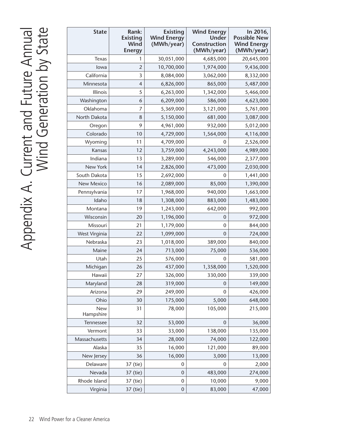| <b>State</b>            | Rank:<br><b>Existing</b><br><b>Wind</b><br><b>Energy</b> | <b>Existing</b><br><b>Wind Energy</b><br>(MWh/year) | <b>Wind Energy</b><br><b>Under</b><br>Construction<br>(MWh/year) | In 2016,<br><b>Possible New</b><br><b>Wind Energy</b><br>(MWh/year) |
|-------------------------|----------------------------------------------------------|-----------------------------------------------------|------------------------------------------------------------------|---------------------------------------------------------------------|
| Texas                   | 1                                                        | 30,051,000                                          | 4,685,000                                                        | 20,645,000                                                          |
| lowa                    | $\overline{2}$                                           | 10,700,000                                          | 1,974,000                                                        | 9,436,000                                                           |
| California              | 3                                                        | 8,084,000                                           | 3,062,000                                                        | 8,332,000                                                           |
| Minnesota               | $\overline{4}$                                           | 6,826,000                                           | 865,000                                                          | 5,487,000                                                           |
| Illinois                | 5                                                        | 6,263,000                                           | 1,342,000                                                        | 5,466,000                                                           |
| Washington              | 6                                                        | 6,209,000                                           | 586,000                                                          | 4,623,000                                                           |
| Oklahoma                | 7                                                        | 5,369,000                                           | 3,121,000                                                        | 5,761,000                                                           |
| North Dakota            | 8                                                        | 5,150,000                                           | 681,000                                                          | 3,087,000                                                           |
| Oregon                  | 9                                                        | 4,961,000                                           | 932,000                                                          | 5,012,000                                                           |
| Colorado                | 10                                                       | 4,729,000                                           | 1,564,000                                                        | 4,116,000                                                           |
| Wyoming                 | 11                                                       | 4,709,000                                           | 0                                                                | 2,526,000                                                           |
| Kansas                  | 12                                                       | 3,759,000                                           | 4,243,000                                                        | 4,989,000                                                           |
| Indiana                 | 13                                                       | 3,289,000                                           | 546,000                                                          | 2,377,000                                                           |
| New York                | 14                                                       | 2,826,000                                           | 473,000                                                          | 2,030,000                                                           |
| South Dakota            | 15                                                       | 2,692,000                                           | 0                                                                | 1,441,000                                                           |
| New Mexico              | 16                                                       | 2,089,000                                           | 85,000                                                           | 1,390,000                                                           |
| Pennsylvania            | 17                                                       | 1,968,000                                           | 940,000                                                          | 1,663,000                                                           |
| Idaho                   | 18                                                       | 1,308,000                                           | 883,000                                                          | 1,483,000                                                           |
| Montana                 | 19                                                       | 1,243,000                                           | 642,000                                                          | 992,000                                                             |
| Wisconsin               | 20                                                       | 1,196,000                                           | 0                                                                | 972,000                                                             |
| Missouri                | 21                                                       | 1,179,000                                           | 0                                                                | 844,000                                                             |
| West Virginia           | 22                                                       | 1,099,000                                           | 0                                                                | 724,000                                                             |
| Nebraska                | 23                                                       | 1,018,000                                           | 389,000                                                          | 840,000                                                             |
| Maine                   | 24                                                       | 713,000                                             | 75,000                                                           | 536,000                                                             |
| Utah                    | 25                                                       | 576,000                                             | 0                                                                | 581,000                                                             |
| Michigan                | 26                                                       | 437,000                                             | 1,358,000                                                        | 1,520,000                                                           |
| Hawaii                  | 27                                                       | 326,000                                             | 330,000                                                          | 339,000                                                             |
| Maryland                | 28                                                       | 319,000                                             | 0                                                                | 149,000                                                             |
| Arizona                 | 29                                                       | 249,000                                             | 0                                                                | 426,000                                                             |
| Ohio                    | 30                                                       | 175,000                                             | 5,000                                                            | 648,000                                                             |
| <b>New</b><br>Hampshire | 31                                                       | 78,000                                              | 105,000                                                          | 215,000                                                             |
| Tennessee               | 32                                                       | 53,000                                              | 0                                                                | 36,000                                                              |
| Vermont                 | 33                                                       | 33,000                                              | 138,000                                                          | 135,000                                                             |
| Massachusetts           | 34                                                       | 28,000                                              | 74,000                                                           | 122,000                                                             |
| Alaska                  | 35                                                       | 16,000                                              | 121,000                                                          | 89,000                                                              |
| New Jersey              | 36                                                       | 16,000                                              | 3,000                                                            | 13,000                                                              |
| Delaware                | 37 (tie)                                                 | 0                                                   | 0                                                                | 2,000                                                               |
| Nevada                  | 37 (tie)                                                 | $\mathbf 0$                                         | 483,000                                                          | 274,000                                                             |
| Rhode Island            | 37 (tie)                                                 | $\mathbf 0$                                         | 10,000                                                           | 9,000                                                               |
| Virginia                | 37 (tie)                                                 | $\boldsymbol{0}$                                    | 83,000                                                           | 47,000                                                              |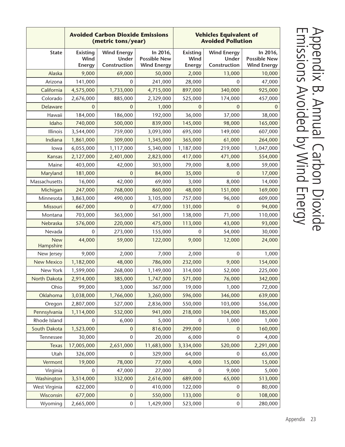|                         | <b>Avoided Carbon Dioxide Emissions</b><br>(metric tons/year) |                                             | <b>Vehicles Equivalent of</b><br><b>Avoided Pollution</b> |                                          |                                             |                                                       |
|-------------------------|---------------------------------------------------------------|---------------------------------------------|-----------------------------------------------------------|------------------------------------------|---------------------------------------------|-------------------------------------------------------|
| <b>State</b>            | <b>Existing</b><br>Wind<br><b>Energy</b>                      | <b>Wind Energy</b><br>Under<br>Construction | In 2016,<br><b>Possible New</b><br><b>Wind Energy</b>     | <b>Existing</b><br>Wind<br><b>Energy</b> | <b>Wind Energy</b><br>Under<br>Construction | In 2016,<br><b>Possible New</b><br><b>Wind Energy</b> |
| Alaska                  | 9,000                                                         | 69,000                                      | 50,000                                                    | 2,000                                    | 13,000                                      | 10,000                                                |
| Arizona                 | 141,000                                                       | 0                                           | 241,000                                                   | 28,000                                   | 0                                           | 47,000                                                |
| California              | 4,575,000                                                     | 1,733,000                                   | 4,715,000                                                 | 897,000                                  | 340,000                                     | 925,000                                               |
| Colorado                | 2,676,000                                                     | 885,000                                     | 2,329,000                                                 | 525,000                                  | 174,000                                     | 457,000                                               |
| Delaware                | $\Omega$                                                      | $\overline{0}$                              | 1,000                                                     | $\overline{0}$                           | $\mathbf 0$                                 | $\mathbf{0}$                                          |
| Hawaii                  | 184,000                                                       | 186,000                                     | 192,000                                                   | 36,000                                   | 37,000                                      | 38,000                                                |
| Idaho                   | 740,000                                                       | 500,000                                     | 839,000                                                   | 145,000                                  | 98,000                                      | 165,000                                               |
| Illinois                | 3,544,000                                                     | 759,000                                     | 3,093,000                                                 | 695,000                                  | 149,000                                     | 607,000                                               |
| Indiana                 | 1,861,000                                                     | 309,000                                     | 1,345,000                                                 | 365,000                                  | 61,000                                      | 264,000                                               |
| lowa                    | 6,055,000                                                     | 1,117,000                                   | 5,340,000                                                 | 1,187,000                                | 219,000                                     | 1,047,000                                             |
| Kansas                  | 2,127,000                                                     | 2,401,000                                   | 2,823,000                                                 | 417,000                                  | 471,000                                     | 554,000                                               |
| Maine                   | 403,000                                                       | 42,000                                      | 303,000                                                   | 79,000                                   | 8,000                                       | 59,000                                                |
| Maryland                | 181,000                                                       | 0                                           | 84,000                                                    | 35,000                                   | 0                                           | 17,000                                                |
| Massachusetts           | 16,000                                                        | 42,000                                      | 69,000                                                    | 3,000                                    | 8,000                                       | 14,000                                                |
| Michigan                | 247,000                                                       | 768,000                                     | 860,000                                                   | 48,000                                   | 151,000                                     | 169,000                                               |
| Minnesota               | 3,863,000                                                     | 490,000                                     | 3,105,000                                                 | 757,000                                  | 96,000                                      | 609,000                                               |
| Missouri                | 667,000                                                       | $\mathbf{0}$                                | 477,000                                                   | 131,000                                  | 0                                           | 94,000                                                |
| Montana                 | 703,000                                                       | 363,000                                     | 561,000                                                   | 138,000                                  | 71,000                                      | 110,000                                               |
| Nebraska                | 576,000                                                       | 220,000                                     | 475,000                                                   | 113,000                                  | 43,000                                      | 93,000                                                |
| Nevada                  | $\mathbf 0$                                                   | 273,000                                     | 155,000                                                   | $\mathbf 0$                              | 54,000                                      | 30,000                                                |
| <b>New</b><br>Hampshire | 44,000                                                        | 59,000                                      | 122,000                                                   | 9,000                                    | 12,000                                      | 24,000                                                |
| New Jersey              | 9,000                                                         | 2,000                                       | 7,000                                                     | 2,000                                    | 0                                           | 1,000                                                 |
| <b>New Mexico</b>       | 1,182,000                                                     | 48,000                                      | 786,000                                                   | 232,000                                  | 9,000                                       | 154,000                                               |
| New York                | 1,599,000                                                     | 268,000                                     | 1,149,000                                                 | 314,000                                  | 52,000                                      | 225,000                                               |
| North Dakota            | 2,914,000                                                     | 385,000                                     | 1,747,000                                                 | 571,000                                  | 76,000                                      | 342,000                                               |
| Ohio                    | 99,000                                                        | 3,000                                       | 367,000                                                   | 19,000                                   | 1,000                                       | 72,000                                                |
| Oklahoma                | 3,038,000                                                     | 1,766,000                                   | 3,260,000                                                 | 596,000                                  | 346,000                                     | 639,000                                               |
| Oregon                  | 2,807,000                                                     | 527,000                                     | 2,836,000                                                 | 550,000                                  | 103,000                                     | 556,000                                               |
| Pennsylvania            | 1,114,000                                                     | 532,000                                     | 941,000                                                   | 218,000                                  | 104,000                                     | 185,000                                               |
| Rhode Island            | 0                                                             | 6,000                                       | 5,000                                                     | 0                                        | 1,000                                       | 1,000                                                 |
| South Dakota            | 1,523,000                                                     | 0                                           | 816,000                                                   | 299,000                                  | $\boldsymbol{0}$                            | 160,000                                               |
| Tennessee               | 30,000                                                        | $\mathbf 0$                                 | 20,000                                                    | 6,000                                    | 0                                           | 4,000                                                 |
| <b>Texas</b>            | 17,005,000                                                    | 2,651,000                                   | 11,683,000                                                | 3,334,000                                | 520,000                                     | 2,291,000                                             |
| Utah                    | 326,000                                                       | $\pmb{0}$                                   | 329,000                                                   | 64,000                                   | 0                                           | 65,000                                                |
| Vermont                 | 19,000                                                        | 78,000                                      | 77,000                                                    | 4,000                                    | 15,000                                      | 15,000                                                |
| Virginia                | 0                                                             | 47,000                                      | 27,000                                                    | $\mathbf 0$                              | 9,000                                       | 5,000                                                 |
| Washington              | 3,514,000                                                     | 332,000                                     | 2,616,000                                                 | 689,000                                  | 65,000                                      | 513,000                                               |
| West Virginia           | 622,000                                                       | $\pmb{0}$                                   | 410,000                                                   | 122,000                                  | 0                                           | 80,000                                                |
| Wisconsin               | 677,000                                                       | $\mathbf 0$                                 | 550,000                                                   | 133,000                                  | $\boldsymbol{0}$                            | 108,000                                               |
| Wyoming                 | 2,665,000                                                     | 0                                           | 1,429,000                                                 | 523,000                                  | $\boldsymbol{0}$                            | 280,000                                               |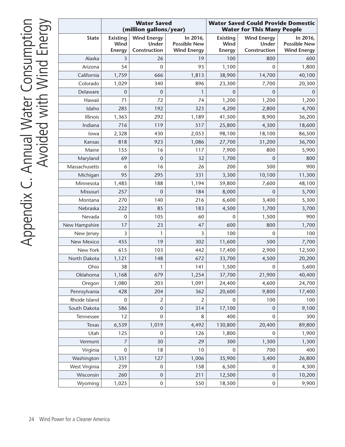|               | <b>Water Saved</b><br>(million gallons/year) |                                             | <b>Water Saved Could Provide Domestic</b><br><b>Water for This Many People</b> |                                          |                                             |                                                       |
|---------------|----------------------------------------------|---------------------------------------------|--------------------------------------------------------------------------------|------------------------------------------|---------------------------------------------|-------------------------------------------------------|
| <b>State</b>  | <b>Existing</b><br>Wind<br><b>Energy</b>     | <b>Wind Energy</b><br>Under<br>Construction | In 2016,<br><b>Possible New</b><br><b>Wind Energy</b>                          | <b>Existing</b><br>Wind<br><b>Energy</b> | <b>Wind Energy</b><br>Under<br>Construction | In 2016,<br><b>Possible New</b><br><b>Wind Energy</b> |
| Alaska        | 3                                            | 26                                          | 19                                                                             | 100                                      | 800                                         | 600                                                   |
| Arizona       | 54                                           | $\mathbf 0$                                 | 93                                                                             | 1,100                                    | $\overline{0}$                              | 1,800                                                 |
| California    | 1,759                                        | 666                                         | 1,813                                                                          | 38,900                                   | 14,700                                      | 40,100                                                |
| Colorado      | 1,029                                        | 340                                         | 896                                                                            | 23,300                                   | 7,700                                       | 20,300                                                |
| Delaware      | $\mathbf 0$                                  | $\mathbf 0$                                 | 1                                                                              | $\mathbf 0$                              | $\mathbf{0}$                                | $\mathbf 0$                                           |
| Hawaii        | 71                                           | 72                                          | 74                                                                             | 1,200                                    | 1,200                                       | 1,200                                                 |
| Idaho         | 285                                          | 192                                         | 323                                                                            | 4,200                                    | 2,800                                       | 4,700                                                 |
| Illinois      | 1,363                                        | 292                                         | 1,189                                                                          | 41,500                                   | 8,900                                       | 36,200                                                |
| Indiana       | 716                                          | 119                                         | 517                                                                            | 25,800                                   | 4,300                                       | 18,600                                                |
| lowa          | 2,328                                        | 430                                         | 2,053                                                                          | 98,100                                   | 18,100                                      | 86,500                                                |
| Kansas        | 818                                          | 923                                         | 1,086                                                                          | 27,700                                   | 31,200                                      | 36,700                                                |
| Maine         | 155                                          | 16                                          | 117                                                                            | 7,900                                    | 800                                         | 5,900                                                 |
| Maryland      | 69                                           | $\mathbf{0}$                                | 32                                                                             | 1,700                                    | $\Omega$                                    | 800                                                   |
| Massachusetts | 6                                            | 16                                          | 26                                                                             | 200                                      | 500                                         | 900                                                   |
| Michigan      | 95                                           | 295                                         | 331                                                                            | 3,300                                    | 10,100                                      | 11,300                                                |
| Minnesota     | 1,485                                        | 188                                         | 1,194                                                                          | 59,800                                   | 7,600                                       | 48,100                                                |
| Missouri      | 257                                          | $\mathbf 0$                                 | 184                                                                            | 8,000                                    | $\Omega$                                    | 5,700                                                 |
| Montana       | 270                                          | 140                                         | 216                                                                            | 6,600                                    | 3,400                                       | 5,300                                                 |
| Nebraska      | 222                                          | 85                                          | 183                                                                            | 4,500                                    | 1,700                                       | 3,700                                                 |
| Nevada        | $\mathbf 0$                                  | 105                                         | 60                                                                             | 0                                        | 1,500                                       | 900                                                   |
| New Hampshire | 17                                           | 23                                          | 47                                                                             | 600                                      | 800                                         | 1,700                                                 |
| New Jersey    | 3                                            | 1                                           | 3                                                                              | 100                                      | $\Omega$                                    | 100                                                   |
| New Mexico    | 455                                          | 19                                          | 302                                                                            | 11,600                                   | 500                                         | 7,700                                                 |
| New York      | 615                                          | 103                                         | 442                                                                            | 17,400                                   | 2,900                                       | 12,500                                                |
| North Dakota  | 1,121                                        | 148                                         | 672                                                                            | 33,700                                   | 4,500                                       | 20,200                                                |
| Ohio          | 38                                           | 1                                           | 141                                                                            | 1,500                                    | $\mathbf 0$                                 | 5,600                                                 |
| Oklahoma      | 1,168                                        | 679                                         | 1,254                                                                          | 37,700                                   | 21,900                                      | 40,400                                                |
| Oregon        | 1,080                                        | 203                                         | 1,091                                                                          | 24,400                                   | 4,600                                       | 24,700                                                |
| Pennsylvania  | 428                                          | 204                                         | 362                                                                            | 20,600                                   | 9,800                                       | 17,400                                                |
| Rhode Island  | $\mathbf 0$                                  | 2                                           | $\overline{2}$                                                                 | 0                                        | 100                                         | 100                                                   |
| South Dakota  | 586                                          | $\mathbf 0$                                 | 314                                                                            | 17,100                                   | 0                                           | 9,100                                                 |
| Tennessee     | 12                                           | 0                                           | 8                                                                              | 400                                      | 0                                           | 300                                                   |
| Texas         | 6,539                                        | 1,019                                       | 4,492                                                                          | 130,800                                  | 20,400                                      | 89,800                                                |
| Utah          | 125                                          | $\mathbf 0$                                 | 126                                                                            | 1,800                                    | 0                                           | 1,900                                                 |
| Vermont       | 7                                            | 30                                          | 29                                                                             | 300                                      | 1,300                                       | 1,300                                                 |
| Virginia      | $\mathbf 0$                                  | 18                                          | $10$                                                                           | 0                                        | 700                                         | 400                                                   |
| Washington    | 1,351                                        | 127                                         | 1,006                                                                          | 35,900                                   | 3,400                                       | 26,800                                                |
| West Virginia | 239                                          | $\boldsymbol{0}$                            | 158                                                                            | 6,500                                    | $\pmb{0}$                                   | 4,300                                                 |
| Wisconsin     | 260                                          | $\boldsymbol{0}$                            | 211                                                                            | 12,500                                   | $\pmb{0}$                                   | 10,200                                                |
| Wyoming       | 1,025                                        | 0                                           | 550                                                                            | 18,500                                   | $\pmb{0}$                                   | 9,900                                                 |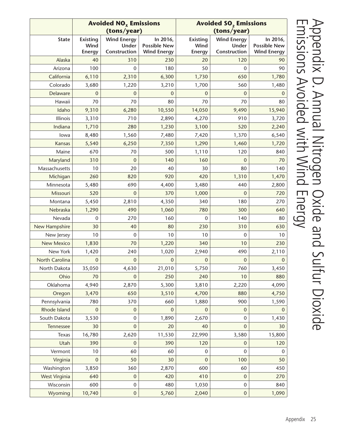|                   | <b>Avoided NO<sub>x</sub></b> Emissions<br>(tons/year) |                                             | <b>Avoided SO<sub>2</sub></b> Emissions<br>(tons/year) |                                          |                                             |                                                       |
|-------------------|--------------------------------------------------------|---------------------------------------------|--------------------------------------------------------|------------------------------------------|---------------------------------------------|-------------------------------------------------------|
| <b>State</b>      | <b>Existing</b><br>Wind<br><b>Energy</b>               | <b>Wind Energy</b><br>Under<br>Construction | In 2016,<br><b>Possible New</b><br><b>Wind Energy</b>  | <b>Existing</b><br>Wind<br><b>Energy</b> | <b>Wind Energy</b><br>Under<br>Construction | In 2016,<br><b>Possible New</b><br><b>Wind Energy</b> |
| Alaska            | 40                                                     | 310                                         | 230                                                    | 20                                       | 120                                         | 90                                                    |
| Arizona           | 100                                                    | 0                                           | 180                                                    | 50                                       | 0                                           | 90                                                    |
| California        | 6,110                                                  | 2,310                                       | 6,300                                                  | 1,730                                    | 650                                         | 1,780                                                 |
| Colorado          | 3,680                                                  | 1,220                                       | 3,210                                                  | 1,700                                    | 560                                         | 1,480                                                 |
| Delaware          | $\boldsymbol{0}$                                       | $\mathbf{0}$                                | $\overline{0}$                                         | $\mathbf{0}$                             | $\mathbf{0}$                                | $\Omega$                                              |
| Hawaii            | 70                                                     | 70                                          | 80                                                     | 70                                       | 70                                          | 80                                                    |
| Idaho             | 9,310                                                  | 6,280                                       | 10,550                                                 | 14,050                                   | 9,490                                       | 15,940                                                |
| Illinois          | 3,310                                                  | 710                                         | 2,890                                                  | 4,270                                    | 910                                         | 3,720                                                 |
| Indiana           | 1,710                                                  | 280                                         | 1,230                                                  | 3,100                                    | 520                                         | 2,240                                                 |
| lowa              | 8,480                                                  | 1,560                                       | 7,480                                                  | 7,420                                    | 1,370                                       | 6,540                                                 |
| Kansas            | 5,540                                                  | 6,250                                       | 7,350                                                  | 1,290                                    | 1,460                                       | 1,720                                                 |
| Maine             | 670                                                    | 70                                          | 500                                                    | 1,110                                    | 120                                         | 840                                                   |
| Maryland          | 310                                                    | 0                                           | 140                                                    | 160                                      | 0                                           | 70                                                    |
| Massachusetts     | 10                                                     | $20\,$                                      | 40                                                     | 30                                       | 80                                          | 140                                                   |
| Michigan          | 260                                                    | 820                                         | 920                                                    | 420                                      | 1,310                                       | 1,470                                                 |
| Minnesota         | 5,480                                                  | 690                                         | 4,400                                                  | 3,480                                    | 440                                         | 2,800                                                 |
| Missouri          | 520                                                    | $\mathbf{0}$                                | 370                                                    | 1,000                                    | $\mathbf{0}$                                | 720                                                   |
| Montana           | 5,450                                                  | 2,810                                       | 4,350                                                  | 340                                      | 180                                         | 270                                                   |
| Nebraska          | 1,290                                                  | 490                                         | 1,060                                                  | 780                                      | 300                                         | 640                                                   |
| Nevada            | 0                                                      | 270                                         | 160                                                    | $\mathbf{0}$                             | 140                                         | 80                                                    |
| New Hampshire     | 30                                                     | 40                                          | 80                                                     | 230                                      | 310                                         | 630                                                   |
| New Jersey        | 10                                                     | 0                                           | 10                                                     | 10                                       | $\mathbf 0$                                 | 10                                                    |
| <b>New Mexico</b> | 1,830                                                  | 70                                          | 1,220                                                  | 340                                      | 10                                          | 230                                                   |
| New York          | 1,420                                                  | 240                                         | 1,020                                                  | 2,940                                    | 490                                         | 2,110                                                 |
| North Carolina    | $\boldsymbol{0}$                                       | $\mathbf{0}$                                | $\overline{0}$                                         | 0                                        | $\mathbf{0}$                                | $\Omega$                                              |
| North Dakota      | 35,050                                                 | 4,630                                       | 21,010                                                 | 5,750                                    | 760                                         | 3,450                                                 |
| Ohio              | 70                                                     | $\mathbf 0$                                 | 250                                                    | 240                                      | 10                                          | 880                                                   |
| Oklahoma          | 4,940                                                  | 2,870                                       | 5,300                                                  | 3,810                                    | 2,220                                       | 4,090                                                 |
| Oregon            | 3,470                                                  | 650                                         | 3,510                                                  | 4,700                                    | 880                                         | 4,750                                                 |
| Pennsylvania      | 780                                                    | 370                                         | 660                                                    | 1,880                                    | 900                                         | 1,590                                                 |
| Rhode Island      | $\boldsymbol{0}$                                       | $\mathbf 0$                                 | 0                                                      | 0                                        | 0                                           | $\Omega$                                              |
| South Dakota      | 3,530                                                  | $\pmb{0}$                                   | 1,890                                                  | 2,670                                    | 0                                           | 1,430                                                 |
| Tennessee         | 30                                                     | $\pmb{0}$                                   | 20                                                     | 40                                       | 0                                           | 30                                                    |
| Texas             | 16,780                                                 | 2,620                                       | 11,530                                                 | 22,990                                   | 3,580                                       | 15,800                                                |
| Utah              | 390                                                    | 0                                           | 390                                                    | 120                                      | 0                                           | 120                                                   |
| Vermont           | 10                                                     | 60                                          | 60                                                     | 0                                        | $\mathbf 0$                                 | $\mathbf 0$                                           |
| Virginia          | $\boldsymbol{0}$                                       | 50                                          | 30                                                     | 0                                        | 100                                         | 50                                                    |
| Washington        | 3,850                                                  | 360                                         | 2,870                                                  | 600                                      | 60                                          | 450                                                   |
| West Virginia     | 640                                                    | $\pmb{0}$                                   | 420                                                    | 410                                      | $\boldsymbol{0}$                            | 270                                                   |
| Wisconsin         | 600                                                    | $\pmb{0}$                                   | 480                                                    | 1,030                                    | 0                                           | 840                                                   |
| Wyoming           | 10,740                                                 | $\pmb{0}$                                   | 5,760                                                  | 2,040                                    | $\boldsymbol{0}$                            | 1,090                                                 |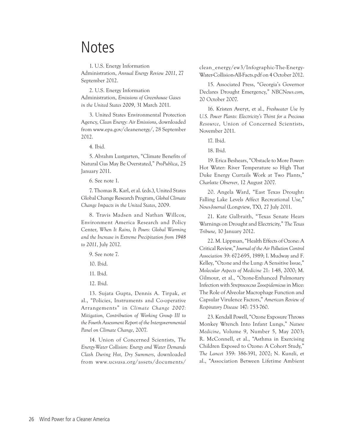### **Notes**

1. U.S. Energy Information Administration, *Annual Energy Review 2011*, 27 September 2012.

2. U.S. Energy Information Administration, *Emissions of Greenhouse Gases in the United States 2009*, 31 March 2011.

3. United States Environmental Protection Agency, *Clean Energy: Air Emissions*, downloaded from www.epa.gov/cleanenergy/, 28 September 2012.

4. Ibid.

5. Abrahm Lustgarten, "Climate Benefits of Natural Gas May Be Overstated," *ProPublica*, 25 January 2011.

6. See note 1.

7. Thomas R. Karl, et al. (eds.), United States Global Change Research Program, *Global Climate Change Impacts in the United States*, 2009.

8. Travis Madsen and Nathan Willcox, Environment America Research and Policy Center, *When It Rains, It Pours: Global Warming and the Increase in Extreme Precipitation from 1948 to 2011*, July 2012.

9. See note 7.

- 10. Ibid.
- 11. Ibid.
- 12. Ibid.

13. Sujata Gupta, Dennis A. Tirpak, et al., "Policies, Instruments and Co-operative Arrangements" in *Climate Change 2007: Mitigation, Contribution of Working Group III to the Fourth Assessment Report of the Intergovernmental Panel on Climate Change*, 2007.

14. Union of Concerned Scientists, *The Energy-Water Collision: Energy and Water Demands Clash During Hot, Dry Summers*, downloaded from www.ucsusa.org/assets/documents/

clean\_energy/ew3/Infographic-The-Energy-Water-Collision-All-Facts.pdf on 4 October 2012.

15. Associated Press, "Georgia's Governor Declares Drought Emergency," *NBCNews.com*, 20 October 2007.

16. Kristen Averyt, et al., *Freshwater Use by U.S. Power Plants: Electricity's Thirst for a Precious Resource*, Union of Concerned Scientists, November 2011.

17. Ibid.

18. Ibid.

19. Erica Beshears, "Obstacle to More Power: Hot Water: River Temperature so High That Duke Energy Curtails Work at Two Plants," *Charlotte Observer*, 12 August 2007.

20. Angela Ward, "East Texas Drought: Falling Lake Levels Affect Recreational Use," *News-Journal* (Longview, TX), 27 July 2011.

21. Kate Galbraith, "Texas Senate Hears Warnings on Drought and Electricity," *The Texas Tribune,* 10 January 2012.

22. M. Lippman, "Health Effects of Ozone: A Critical Review," *Journal of the Air Pollution Control Association* 39: 672-695, 1989; I. Mudway and F. Kelley, "Ozone and the Lung: A Sensitive Issue," *Molecular Aspects of Medicine* 21: 1-48, 2000; M. Gilmour, et al., "Ozone-Enhanced Pulmonary Infection with *Streptococcus Zooepidemicus* in Mice: The Role of Alveolar Macrophage Function and Capsular Virulence Factors," *American Review of Respiratory Disease* 147: 753-760.

23. Kendall Powell, "Ozone Exposure Throws Monkey Wrench Into Infant Lungs," *Nature Medicine*, Volume 9, Number 5, May 2003; R. McConnell, et al., "Asthma in Exercising Children Exposed to Ozone: A Cohort Study," *The Lancet* 359: 386-391, 2002; N. Kunzli, et al., "Association Between Lifetime Ambient